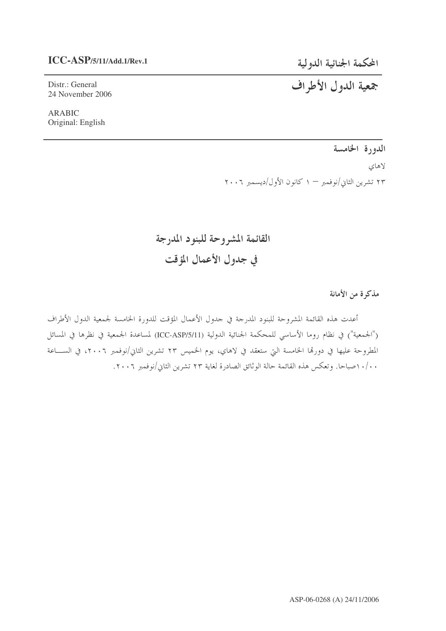### **ICC-ASP/5/11/Add.1/Rev.1**

المحكمة الجنائية الدولية

# جمعية الدول الأطراف

Distr.: General 24 November 2006

ARABIC Original: English

## الدورة الخامسة

لاهاي ۲۳ تشرین الثاني/نوفمبر — ۱ کانون الأول/دیسمبر ۲۰۰۶

القائمة المشروحة للبنود المدرجة في جدول الأعمال المؤقت

مذكرة من الأمانة

أعدت هذه القائمة المشروحة للبنود المدرجة في حدول الأعمال المؤقت للدورة الخامسة لجمعية الدول الأطراف ("الجمعية") في نظام روما الأساسي للمحكمة الجنائية الدولية (ICC-ASP/5/11) لمساعدة الجمعية في نظرها في المسائل المطروحة عليها في دورها الخامسة التي ستعقد في لاهاي، يوم الخميس ٢٣ تشرين الثاني/نوفمبر ٢٠٠٦، في الســـاعة ١٠/٠ صباحا. وتعكس هذه القائمة حالة الوثائق الصادرة لغاية ٢٣ تشرين الثاني/نوفمبر ٢٠٠٦.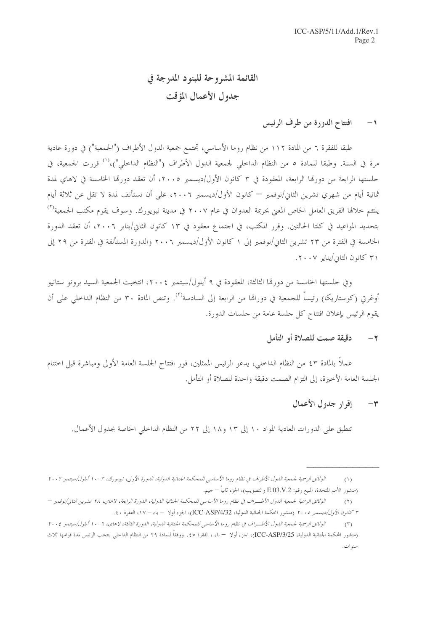## القائمة المشروحة للبنود المدرجة في جدول الأعمال المؤقت

#### افتتاح الدورة من طرف الرئيس  $-1$

طبقا للفقرة ٦ من المادة ١١٢ من نظام روما الأساسي، تجتمع جمعية الدول الأطراف ("الجمعية") في دورة عادية مرة في السنة. وطبقا للمادة ٥ من النظام الداحلي لجمعية الدول الأطراف ("النظام الداحلي")،<sup>(١)</sup> قررت الجمعية، في جلستها الرابعة من دورقما الرابعة، المعقودة في ٣ كانون الأول/ديسمبر ٢٠٠٥، أن تعقد دورقما الخامسة في لاهاي لمدة ثمانية أيام من شهري تشرين الثاني/نوفمبر — كانون الأول/ديسمبر ٢٠٠٦، على أن تستأنف لمدة لا تقل عن ثلاثة أيام يلتئم خلالها الفريق العامل الخاص المعبي بجريمة العدوان في عام ٢٠٠٧ في مدينة نيويورك. وسوف يقوم مكتب الجمعية<sup>(٢)</sup> بتحديد المواعيد في كلتا الحالتين. وقرر المكتب، في اجتماع معقود في ١٣ كانون الثاني/يناير ٢٠٠٦، أن تعقد الدورة الخامسة في الفترة من ٢٣ تشرين الثاني/نوفمبر إلى ١ كانون الأول/ديسمبر ٢٠٠٦ والدورة المستأنفة في الفترة من ٢٩ إلى ٣١ كانون الثاني/يناير ٢٠٠٧.

وفي جلستها الخامسة من دورقما الثالثة، المعقودة في ٩ أيلول/سبتمبر ٢٠٠٤، انتخبت الجمعية السيد برونو ستانيو أوغرتي (كوستاريكا) رئيساً للجمعية في دوراقما من الرابعة إلى السادسة'``. وتنص المادة ٣٠ من النظام الداخلي على أن يقوم الرئيس بإعلان افتتاح كل جلسة عامة من جلسات الدورة.

#### دقيقة صمت للصلاة أو التأمل  $-7$

عملاً بالمادة ٤٣ من النظام الداخلي، يدعو الرئيس الممثلين، فور افتتاح الجلسة العامة الأولى ومباشرة قبل اختتام الجلسة العامة الأخيرة، إلى التزام الصمت دقيقة واحدة للصلاة أو التأمل.

#### إقرار جدول الأعمال  $-<sup>\omega</sup>$

تنطبق على الدورات العادية المواد ١٠ إلى ١٣ و١٨ إلى ٢٢ من النظام الداخلي الخاصة بجدول الأعمال.

الوثائق الرسمية لجمعية الدول الأطراف في نظام روما الأساسي للمحكمة الجنائية الدولية، الدورة الأولى، نيويورك، ٣-١٠ أيلول/سبتمبر ٢٠٠٢  $(1)$ (منشور الأمم المتحدة، المبيع رقم: E.O3.V.2 والتصويب)، الجزء ثانياً — جيم.

الوثائق الرسمية لجمعية اللهول الأطـراف في نظام روما الأساسي للمحكمة الجنائية اللهولية، اللهورة الرابعة، لاهاي، ٢٨ تشرين الثاني/نوفمبر –  $(1)$ ٣ كانو*ن الأول/ديسمبر ٢٠٠٥* (منشور المحكمة الجنائية الدولية، ICC-ASP/4/32)، الجزء أولا – باء – ١٧، الفقرة ٤٠.

الوثائق الرسمية لجمعية اللهول الأطــراف في نظام روما الأساسي للمحكمة الجنائية اللهولية، اللهورة الثالثة، لاهاي، ٦-١٠ أيلول/سبتمبر ٢٠٠٤  $(\mathcal{T})$ (منشور المحكمة الجنائية الدولية، ICC-ASP/3/25)، الجزء أولا  $\cdot$  باء ، الفقرة ٥٥. ووفقاً للمادة ٢٩ من النظام الداخلي ينتخب الرئيس لمدة قوامها ثلاث سنو ات.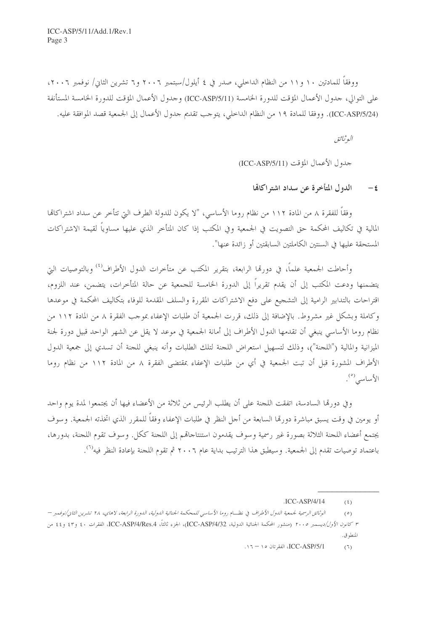ووفقاً للمادتين ١٠ و١١ من النظام الداخلي، صدر في ٤ أيلول/سبتمبر ٢٠٠٦ و٦ تشرين الثاني/ نوفمبر ٢٠٠٦، على التوالي، جدول الأعمال المؤقت للدورة الخامسة (ICC-ASP/5/11) وجدول الأعمال المؤقت للدورة الخامسة المستأنفة (ICC-ASP/5/24). ووفقا للمادة ١٩ من النظام الداخلي، يتوجب تقديم جدول الأعمال إلى الجمعية قصد الموافقة عليه.

البوثيائق

حدول الأعمال المؤقت (ICC-ASP/5/11)

الدول المتأخرة عن سداد اشتراكاتها  $-\epsilon$ 

وفقاً للفقرة ٨ من المادة ١١٢ من نظام روما الأساسي، "لا يكون للدولة الطرف التي تتأخر عن سداد اشتراكاتما المالية في تكاليف المحكمة حق التصويت في الجمعية وفي المكتب إذا كان المتأخر الذي عليها مساوياً لقيمة الاشتراكات المستحقة عليها في السنتين الكاملتين السابقتين أو زائدة عنها".

وأحاطت الجمعية علماً، في دورِها الرابعة، بتقرير المكتب عن متأخرات الدول الأطراف<sup>(٤)</sup> وبالتوصيات التي يتضمنها ودعت المكتب إلى أن يقدم تقريراً إلى الدورة الخامسة للجمعية عن حالة المتأخرات، يتضمن، عند اللزوم، اقتراحات بالتدابير الرامية إلى التشجيع على دفع الاشتراكات المقررة والسلف المقدمة للوفاء بتكاليف المحكمة في موعدها وكاملة وبشكل غير مشروط. بالإضافة إلى ذلك، قررت الجمعية أن طلبات الإعفاء بموجب الفقرة ٨ من المادة ١١٢ من نظام روما الأساسي ينبغي أن تقدمها الدول الأطراف إلى أمانة الجمعية في موعد لا يقل عن الشهر الواحد قبيل دورة لجنة الميزانية والمالية ("اللجنة")، وذلك لتسهيل استعراض اللجنة لتلك الطلبات وأنه ينبغي للجنة أن تسدي إلى جمعية الدول الأطراف المشورة قبل أن تبت الجمعية في أي من طلبات الإعفاء بمقتضى الفقرة ٨ من المادة ١١٢ من نظام روما الأساسى (°).

وفي دورهّا السادسة، اتفقت اللجنة على أن يطلب الرئيس من ثلاثة من الأعضاء فيها أن يجتمعوا لمدة يوم واحد أو يومين في وقت يسبق مباشرة دورهّا السابعة من أجل النظر في طلبات الإعفاء وفقاً للمقرر الذي اتخذته الجمعية. وسوف يجتمع أعضاء اللجنة الثلاثة بصورة غير رسمية وسوف يقدمون استنتاجاهم إلى اللجنة ككل. وسوف تقوم اللجنة، بدورها، باعتماد توصيات تقدم إلى الجمعية. وسيطبق هذا الترتيب بداية عام ٢٠٠٦ ثم تقوم اللجنة بإعادة النظر فيه<sup>(٦)</sup>.

ICC-ASP/5/1. الفقرتان ١٥ - ١٦.  $(7)$ 

 $ICC-ASP/4/14$  $(5)$ 

الوثائق الرسمية لجمعية الدول الأطراف في نظسام روما الأساسي للمحكمة الجنائية الدولية، الدورة الرابعة، لاهاي، ٢٨ تشرين الثاني/نوفمبر —  $(0)$ ٣ *كانون الأول/ديسمبر ٢٠٠٥* (منشور المحكمة الجنائية الدولية، ICC-ASP/4/32)، الجزء ثالثاً، ICC-ASP/4/Res.4، الفقرات ٤٠ و٤٢ و٤٤ من المنطوق.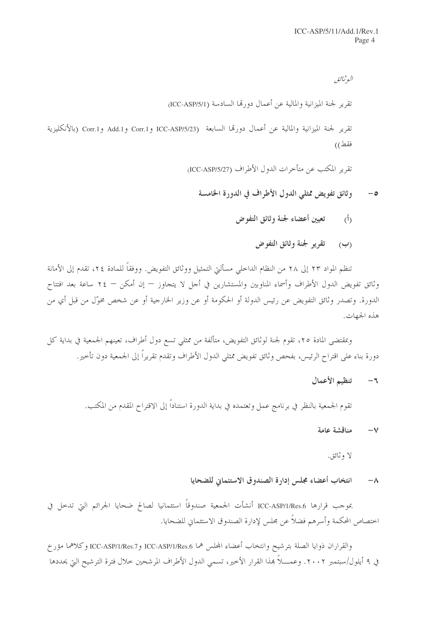البوثيائق تقرير لجنة الميزانية والمالية عن أعمال دورتها السادسة (ICC-ASP/5/1) تقرير لجنة الميزانية والمالية عن أعمال دورتما السابعة ICC-ASP/5/23 و Corr.1 وAdd.1 و Corr.1 (بالأنكليزية

فقط))

تقرير المكتب عن متأخرات الدول الأطراف (ICC-ASP/5/27)

وثائق تفويض ممثلي الدول الأطراف في الدورة الخامسة  $-\circ$ 

- تعيين أعضاء لجنة وثائق التفوض  $\langle \dot{a} \rangle$ 
	- (ب) قفرير لجنة وثائق التفوض

تنظم المواد ٢٣ إلى ٢٨ من النظام الداخلي مسألتي التمثيل ووثائق التفويض. ووفقاً للمادة ٢٤، تقدم إلى الأمانة وثائق تفويض الدول الأطراف وأسماء المناوبين والمستشارين في أجل لا يتجاوز — إن أمكن — ٢٤ ساعة بعد افتتاح الدورة. وتصدر وثائق التفويض عن رئيس الدولة أو الحكومة أو عن وزير الخارجية أو عن شخص مخوّل من قبل أي من هذه الجهات.

وبمقتضى المادة ٢٥، تقوم لجنة لوثائق التفويض، متألفة من ممثلي تسع دول أطراف، تعينهم الجمعية في بداية كل دورة بناء على اقتراح الرئيس، بفحص وثائق تفويض ممثلي الدول الأطراف وتقدم تقريراً إلى الجمعية دون تأخير .

#### تنظيم الأعمال  $-5$

تقوم الجمعية بالنظر في برنامج عمل وتعتمده في بداية الدورة استناداً إلى الاقتراح المقدم من المكتب.

#### مناقشة عامة  $-\vee$

لا وثائق.

#### انتخاب أعضاء مجلس إدارة الصندوق الاستئماني للضحايا  $-\lambda$

بموجب قرارها ICC-ASP/1/Res.6 أنشأت الجمعية صندوقاً استئمانيا لصالح ضحايا الجرائم التي تدحل في احتصاص المحكمة وأسرهم فضلاً عن مجلس لإدارة الصندوق الاستئماني للضحايا.

والقراران ذوايا الصلة بترشيح وانتخاب أعضاء المجلس هما ICC-ASP/1/Res.6 وICC-ASP/1/Res.7 وكلاهما مؤرخ في ٩ أيلو ل/سبتمبر ٢٠٠٢. وعمـــلاً بمذا القرار الأخير، تسمى الدول الأطراف المرشحين حلال فترة الترشيح التي يحددها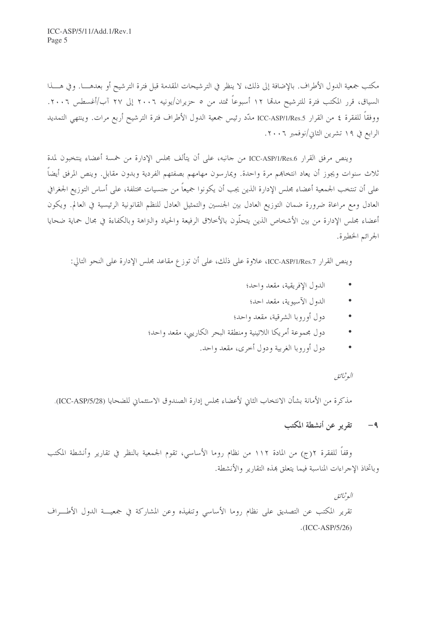مكتب جمعية الدول الأطراف. بالإضافة إلى ذلك، لا ينظر في الترشيحات المقدمة قبل فترة الترشيح أو بعدهــــا. وفي هــــذا السياق، قرر المكتب فترة للترشيح مدمّا ١٢ أسبوعاً تمتد من ٥ حزيران/يونيه ٢٠٠٦ إلى ٢٧ آب/أغسطس ٢٠٠٦. ووفقاً للفقرة ٤ من القرار ICC-ASP/1/Res.5 ملدّد رئيس جمعية الدول الأطراف فترة الترشيح أربع مرات. وينتهي التمديد الرابع في ١٩ تشرين الثاني/نوفمبر ٢٠٠٦.

وينص مرفق القرار ICC-ASP/1/Res.6 من حانبه، على أن يتألف مجلس الإدارة من خمسة أعضاء ينتخبون لمدة ثلاث سنوات ويجوز أن يعاد انتخاهم مرة واحدة. ويمارسون مهامهم بصفتهم الفردية وبدون مقابل. وينص المرفق أيضاً على أن تنتخب الجمعية أعضاء مجلس الإدارة الذين يجب أن يكونوا جميعاً من حنسيات مختلفة، على أساس التوزيع الجغرافي العادل ومع مراعاة ضرورة ضمان التوزيع العادل بين الجنسين والتمثيل العادل للنظم القانونية الرئيسية في العالم. ويكون أعضاء مجلس الإدارة من بين الأشخاص الذين يتحلُّون بالأخلاق الرفيعة والحياد والتراهة وبالكفاءة في مجال حماية ضحايا الجرائم الخطيرة.

وينص القرار ICC-ASP/1/Res.7، علاوة على ذلك، على أن توزع مقاعد مجلس الإدارة على النحو التالي:

- الدول الإفريقية، مقعد واحد؛
- الدول الآسيوية، مقعد احد؛
- دول أوروبا الشرقية، مقعد واحد؛
- دول مجموعة أمريكا اللاتينية ومنطقة البحر الكاريبي، مقعد واحد؛
	- دول أوروبا الغربية ودول أحرى، مقعد واحد.

### البوثيائق

مذكرة من الأمانة بشأن الانتخاب الثاني لأعضاء مجلس إدارة الصندوق الاستئماني للضحايا (ICC-ASP/5/28).

٩- تقرير عن أنشطة المكتب

وقفاً للفقرة ٢(ج) من المادة ١١٢ من نظام روما الأساسي، تقوم الجمعية بالنظر في تقارير وأنشطة المكتب وباتخاذ الإحراءات المناسبة فيما يتعلق هذه التقارير والأنشطة.

البوثيائق تقرير المكتب عن التصديق على نظام روما الأساسي وتنفيذه وعن المشاركة في جمعيـــة الدول الأطـــراف  $.(ICC-ASP/5/26)$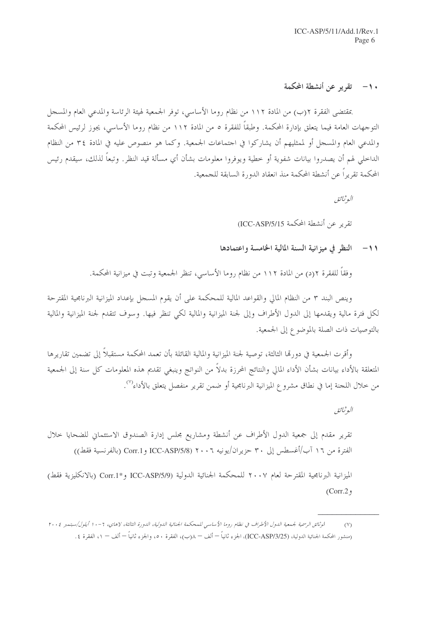## ١٠ – تقرير عن أنشطة المحكمة

بمقتضى الفقرة ٢(ب) من المادة ١١٢ من نظام روما الأساسي، توفر الجمعية لهيئة الرئاسة والمدعى العام والمسجل التوجهات العامة فيما يتعلق بإدارة المحكمة. وطبقاً للفقرة ٥ من المادة ١١٢ من نظام روما الأساسي، يجوز لرئيس المحكمة والمدعى العام والمسجل أو لممثليهم أن يشاركوا في احتماعات الجمعية. وكما هو منصوص عليه في المادة ٣٤ من النظام الداخلي لهم أن يصدروا بيانات شفوية أو خطية ويوفروا معلومات بشأن أي مسألة قيد النظر. وتبعاً لذلك، سيقدم رئيس المحكمة تقريراً عن أنشطة المحكمة منذ انعقاد الدورة السابقة للجمعية.

البوثيائيق

تقرير عن أنشطة المحكمة ICC-ASP/5/15)

#### النظر في ميزانية السنة المالية الخامسة واعتمادها  $-11$

وفقًا للفقرة ٢(د) من المادة ١١٢ من نظام روما الأساسي، تنظر الجمعية وتبت في ميزانية المحكمة.

وينص البند ٣ من النظام المالي والقواعد المالية للمحكمة على أن يقوم المسجل بإعداد الميزانية البرنامجية المقترحة لكل فترة مالية ويقدمها إلى الدول الأطراف وإلى لجنة الميزانية والمالية لكي تنظر فيها. وسوف تتقدم لجنة الميزانية والمالية بالتوصيات ذات الصلة بالموضوع إلى الجمعية.

وأقرت الجمعية في دو, قما الثالثة، توصية لجنة الميزانية والمالية القائلة بأن تعمد المحكمة مستقبلاً إلى تضمين تقاريرها المتعلقة بالأداء بيانات بشأن الأداء المالي والنتائج المحرزة بدلاً من النواتج وينبغي تقديم هذه المعلومات كل سنة إلى الجمعية من خلال اللجنة إما في نطاق مشروع الميزانية البرنامجية أو ضمن تقرير منفصل يتعلق بالأداء<sup>(٧)</sup>.

البوثيائق

تقرير مقدم إلى جمعية الدول الأطراف عن أنشطة ومشاريع مجلس إدارة الصندوق الاستئماني للضحايا حلال الفترة من ١٦ آب/أغسطس إلى ٣٠ حزيران/يونيه ٢٠٠٦ (ICC-ASP/5/8 و Corr.1 (بالفرنسية فقط))

الميزانية البرنامجية المقترحة لعام ٢٠٠٧ للمحكمة الجنائية الدولية (ICC-ASP/5/9 و\*Corr.1 (بالانكليزية فقط)  $(Corr. 2)$ 

اموثائق الرسمية لجمعية الدول الأطراف في نظام روما الأساسي للمحكمة الجنائية الدولية، الدورة الثالثة، لاهاي، ٦ - ١ أيلول/سبتمبر ٢٠٠٤  $(y)$ (منشور المحكمة الجنائية الدولية، (ICC-ASP/3/25)، الجزء ثانياً — ألف — λ(ب)، الفقرة ٥٠، والجزء ثانياً — ألف — ١، الفقرة ٤.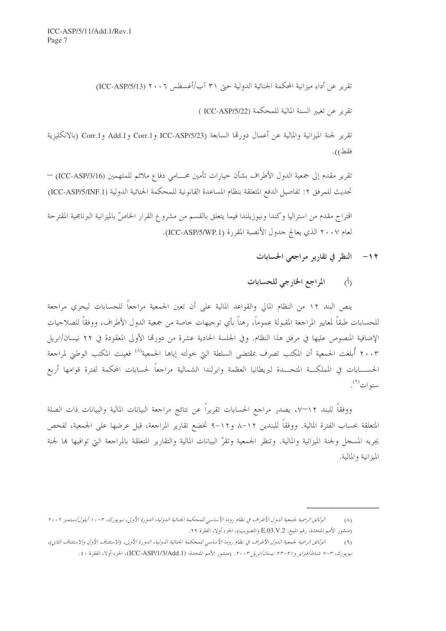تقرير عن أداء ميزانية المحكمة الجنائية الدولية حتى ٣١ آب/أغسطس ٢٠٠٦ (ICC-ASP/5/13)

تقرير عن تغيير السنة المالية للمحكمة (ICC-ASP/5/22 )

تقرير لجنة الميزانية والمالية عن أعمال دورتما السابعة (ICC-ASP/5/23 و Corr.1 و Corr.1 (بالانكليزية فقط)).

تقرير مقدم إلى جمعية الدول الأطراف بشأن خيارات تأمين محـــامي دفاع ملائم للمتهمين (ICC-ASP/3/16) — تحديث للمرفق ٢: تفاصيل الدفع المتعلقة بنظام المساعدة القانونية للمحكمة الجنائية الدولية (ICC-ASP/5/INF.1)

اقتراح مقدم من استراليا وكندا ونيوزيلندا فيما يتعلق بالقسم من مشروع القرار الخاصّ بالميزانية البرنامجية المقترحة لعام ٢٠٠٧ الذي يعالج حدول الأنصبة المقررة (ICC-ASP/5/WP.1).

- ١٢- النظر في تقارير مراجعي الحسابات
- المراجع الخارجي للحسابات  $(\mathfrak{h})$

ينص البند ١٢ من النظام المالي والقواعد المالية على أن تعين الجمعية مراجعاً للحسابات ليجري مراجعة للحسابات طبقاً لمعايير المراجعة المقبولة عموماً، رهناً بأي توجيهات خاصة من جمعية الدول الأطراف، ووفقاً للصلاحيات الإضافية المنصوص عليها في مرفق هذا النظام. وفي الجلسة الحادية عشرة من دورتما الأولى المعقودة في ٢٢ نيسان/ابريل ٢٠٠٣ أُبلغت الجمعية أن المكتب تصرف بمقتضى السلطة التي حولته إياها الجمعية'<sup>٨)</sup> فعينت المكتب الوطني لمراجعة الحســــابات في المملكـــة المتحــــدة لبريطانيا العظمة وايرلندا الشمالية مراجعاً لحسابات المحكمة لفترة قوامها أربع سنوات<sup>(٩)</sup>.

ووفقاً للبند ١٢–٧، يصدر مراجع الحسابات تقريراً عن نتائج مراجعة البيانات المالية والبيانات ذات الصلة المتعلقة بحساب الفترة المالية. ووفقاً للبندين ١٢–٨ و١٢–٩ تخضع تقارير المراجعة، قبل عرضها على الجمعية، لفحص يجريه المسجل ولجنة الميزانية والمالية. وتنظر الجمعية وتقرَّ البيانات المالية والتقارير المتعلقة بالمراجعة التي توافيها بما لجنة الميزانية والمالية.

الوثائق الرسمية لجمعية الدول الأطراف في نظام روما الأساسي للمحكمة الجنائية الدولية، الدورة الأولى، نيويورك، ٣-١٠ أيلول/سبتمبر ٢٠٠٢  $(\wedge)$ (منشور الأمم المتحدة، رقم المبيع: E.03.V.2 والتصويب)، الجزء أولا، الفقرة ٢٩.

الوثائق الرسمية لجمعية الدول الأطراف في نظام روما الأساسي للمحكمة الجنائية الدولية، الدورة الأولى، (الاستثناف الأول والاستئناف الثاني)،  $(9)$ نيويورك، ٣-٧ شباط/فيراير و٢١-٢٣ نيسان/ابريل ٢٠٠٣. (منشور الأمم المتحدة، (ICC-ASP/1/3/Add.1)، الجزء أولا، الفقرة ٤٠.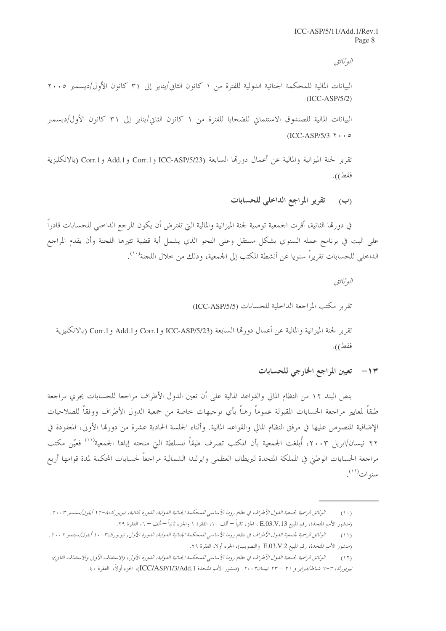البوثيائق

البيانات المالية للمحكمة الجنائية الدولية للفترة من ١ كانون الثاني/يناير إلى ٣١ كانون الأول/ديسمبر ٢٠٠٥  $(ICC-ASP/5/2)$ 

البيانات المالية للصندوق الاستئماني للضحايا للفترة من ١ كانون الثاني/يناير إلى ٣١ كانون الأول/ديسمبر  $(ICC-ASP/5/3 \t\cdot \cdot \cdot \t\circ$ 

تقرير لجنة الميزانية والمالية عن أعمال دورتما السابعة (ICC-ASP/5/23 و Add.1 و Corr.1 (بالانكليزية فقط)).

> تقرير المراجع الداخلي للحسابات  $(\rightarrow)$

في دورهّا الثانية، أقرت الجمعية توصية لجنة الميزانية والمالية التي تفترض أن يكون المرجع الداخلي للحسابات قادراً على البت في برنامج عمله السنوي بشكل مستقل وعلى النحو الذي يشمل أية قضية تثيرها اللجنة وأن يقدم المراجع الداخلي للحسابات تقريراً سنويا عن أنشطة المكتب إلى الجمعية، وذلك من خلال اللجنة'''.

البوثيائق

تقرير مكتب المراجعة الداخلية للحسابات (ICC-ASP/5/5)

تقرير لجنة الميزانية والمالية عن أعمال دورتما السابعة (ICC-ASP/5/23 و Corr.1 و Add.1 و Corr.1 (بالانكليزية فقط)).

١٣- تعيين المراجع الخارجي للحسابات

ينص البند ١٢ من النظام المالي والقواعد المالية على أن تعين الدول الأطراف مراجعا للحسابات يجري مراجعة طبقاً لمعايير مراجعة الحسابات المقبولة عموماً رهناً بأي توجيهات خاصة من جمعية الدول الأطراف ووفقاً للصلاحيات الإضافية المنصوص عليها في مرفق النظام المالي والقواعد المالية. وأثناء الجلسة الحادية عشرة من دورقما الأولى، المعقودة في ٢٢ نيسان/ابريل ٢٠٠٣، أُبلغت الجمعية بأن المكتب تصرف طبقاً للسلطة التي منحته إياها الجمعية<sup>(١١)</sup> فعيّن مكتب مراجعة الحسابات الوطني في المملكة المتحدة لبريطانيا العظمى وايرلندا الشمالية مراجعاً لحسابات المحكمة لمدة قوامها أربع سنوات<sup>(١٢)</sup>.

الوثائق الرسمية لجمعية الدول الأطراف في نظام روما الأساسي للمحكمة الجنائية الدولية، الدورة الثانية، نيويورك،٨-١٢ أيلول/سبتمبر ٢٠٠٣.  $(1 \cdot)$ 

<sup>(</sup>منشور الأمم المتحدة، رقم المبيع E.O3.V.13 ، الجزء ثانياً — ألف –١، الفقرة ١ والجزء ثانياً — ألف – ٦، الفقرة ٢٩.

الوثائق الرسمية لجمعية الدول الأطراف في نظام روما الأساسي للمحكمة الجنائية الدولية، الدورة الأولى، نيويورك،٣-١٠ أيلول/سبتمبر ٢٠٠٢ .  $(11)$ (منشور الأمم المتحدة، رقم المبيع E.O3.V.2 والتصويب)، الجزء أولا، الفقرة ٢٩.

الوثائق الرسمية لجمعية الدول الأطراف في نظام روما الأساسي للمحكمة الجنائية اللولية، الدورة الأولى، (الاستثناف الأولى والاستئناف الثاني)،  $(11)$ نيويورك، ٣-٧ شبا*ط/فبراير و ٢١ – ٢٣ نيسان٢٠٠٣.* (منشور الأمم المتحدة ICC/ASP/1/3/Add.1)، الجزء أولاً، الفقرة ٤٠.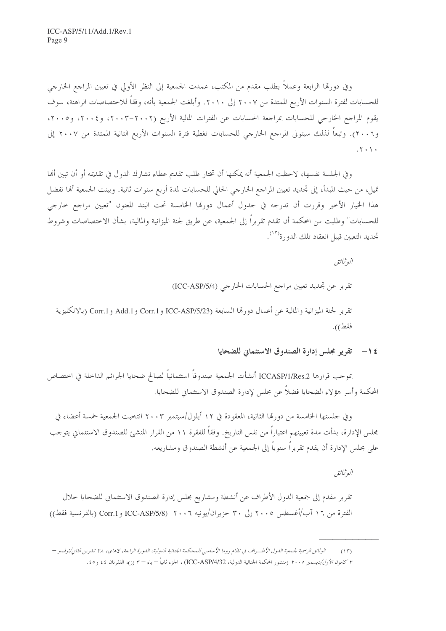وفي دورتما الرابعة وعملاً بطلب مقدم من المكتب، عمدت الجمعية إلى النظر الأولى في تعيين المراجع الخارجي للحسابات لفترة السنوات الأربع الممتدة من ٢٠٠٧ إلى ٢٠١٠. وأبلغت الجمعية بأنه، وفقاً للاختصاصات الراهنة، سوف يقوم المراجع الخارجي للحسابات بمراجعة الحسابات عن الفترات المالية الأربع (٢٠٠٢–٢٠٠٣)، و٢٠٠٤، و٢٠٠٥، و٢٠٠٦). وتبعاً لذلك سيتولى المراجع الخارجي للحسابات تغطية فترة السنوات الأربع الثانية الممتدة من ٢٠٠٧ إلى  $.7.1.$ 

وفي الجلسة نفسها، لاحظت الجمعية أنه يمكنها أن تختار طلب تقديم عطاء تشارك الدول في تقديمه أو أن تبين ألها تميل، من حيث المبدأ، إلى تحديد تعيين المراجع الخارجي الحالي للحسابات لمدة أربع سنوات ثانية. وبينت الجمعية ألها تفضل هذا الخيار الأخير وقررت أن تدرجه في جدول أعمال دورقما الخامسة تحت البند المعنون "تعيين مراجع خارجي للحسابات" وطلبت من المحكمة أن تقدم تقريراً إلى الجمعية، عن طريق لجنة الميزانية والمالية، بشأن الاختصاصات وشروط تحديد التعيين قبيل انعقاد تلك الدو, ة<sup>(١٣)</sup>.

البوثيائيق تقرير عن تحديد تعيين مراجع الحسابات الخارجي (ICC-ASP/5/4) تقرير لجنة الميزانية والمالية عن أعمال دورتما السابعة (ICC-ASP/5/23 و Corr.1 و Add.1 و Corr.1 (بالانكليزية فقط)).

## ١٤ - تقرير مجلس إدارة الصندوق الاستئماني للضحايا

بموجب قرارها ICCASP/1/Res.2 أنشأت الجمعية صندوقاً استئمانياً لصالح ضحايا الجرائم الداخلة في اختصاص المحكمة وأسر هؤلاء الضحايا فضلاً عن مجلس لإدارة الصندوق الاستئماني للضحايا.

وفي جلستها الخامسة من دورتما الثانية، المعقودة في ١٢ أيلول/سبتمبر ٢٠٠٣ انتخبت الجمعية خمسة أعضاء في مجلس الإدارة، بدأت مدة تعيينهم اعتباراً من نفس التاريخ. وفقاً للفقرة ١١ من القرار المنشئ للصندوق الاستئماني يتوحب على مجلس الإدارة أن يقدم تقريراً سنوياً إلى الجمعية عن أنشطة الصندوق ومشاريعه.

البوثيائق

تقرير مقدم إلى جمعية الدول الأطراف عن أنشطة ومشاريع مجلس إدارة الصندوق الاستئماني للضحايا حلال الفترة من ١٦ آب/أغسطس ٢٠٠٥ إلى ٣٠ حزيران/يونيه ٢٠٠٦ (ICC-ASP/5/8 و Corr.1 (بالفرنسية فقط))

الوثائق الرسمية لجيعية الدول الأطب اف في نظام روما الأساسير للمحكمة الجنائية الدولية، الدورة الرابعة، لاهاي، ٢٨ نشيرين النابي/نوفيين –  $(15)$ ٣ *كانون الأول/ديسمبر ٢٠٠٥* (منشور المحكمة الجنائية الدولية، ICC-ASP/4/32) ، الجزء ثانياً = باء = ٣ (ز)، الفقرتان ٤٤ و٥٠.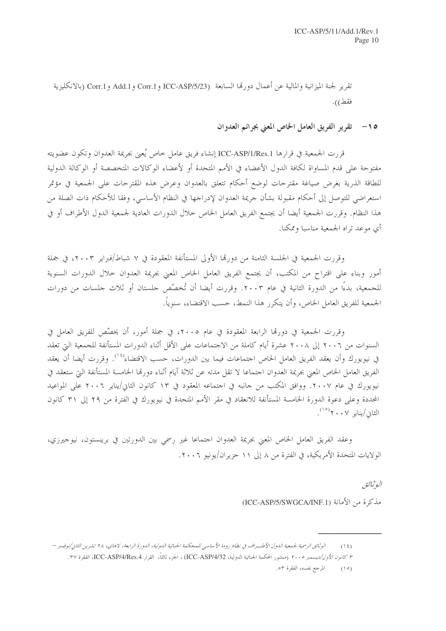تقرير لجنة الميزانية والمالية عن أعمال دورةما السابعة (ICC-ASP/5/23 و Corr.1 و Corr.1 (بالانكليزية فقط)).

> تقرير الفريق العامل الخاص المعنى بجرائم العدوان  $-10$

قررت الجمعية في قرارها ICC-ASP/1/Res.1 إنشاء فريق عامل خاص يُعين بجريمة العدوان وتكون عضويته مفتوحة على قدم المساواة لكافة الدول الأعضاء في الأمم المتحدة أو لأعضاء الوكالات المتخصصة أو الوكالة الدولية للطاقة الذرية بغرض صياغة مقترحات لوضع أحكام تتعلق بالعدوان وعرض هذه المقترحات على الجمعية في مؤتمر استعراضي للتوصل إلى أحكام مقبولة بشأن حريمة العدوان لإدراجها في النظام الأساسي، وفقا للأحكام ذات الصلة من هذا النظام. وقررت الجمعية أيضا أن يجتمع الفريق العامل الخاص حلال الدورات العادية لجمعية الدول الأطراف أو في أي موعد تراه الجمعية مناسبا وممكنا.

وقررت الجمعية في الجلسة الثامنة من دورتما الأولى المستأنفة المعقودة في ٧ شباط/فبراير ٢٠٠٣، في جملة أمور وبناء على اقتراح من المكتب، أن يجتمع الفريق العامل الخاص المعنى بجريمة العدوان حلال الدورات السنوية للجمعية، بدءًا من الدورة الثانية في عام ٢٠٠٣. وقررت أيضا أن تُخصِّص جلستان أو ثلاث جلسات من دورات الجمعية للفريق العامل الخاص، وأن يتكرر هذا النمط، حسب الاقتضاء، سنوياً.

وقررت الجمعية في دورهّا الرابعة المعقودة في عام ٢٠٠٥، في جملة أمور، أن يخصّص للفريق العامل في السنوات من ٢٠٠٦ إلى ٢٠٠٨ عشرة أيام كاملة من الاحتماعات على الأقل أثناء الدورات المستأنفة للجمعية التي تعقد في نيويورك وأن يعقد الفريق العامل الخاص احتماعات فيما بين الدورات، حسب الاقتضاء<sup>(٢٠)</sup>. وقررت أيضا أن يعقد الفريق العامل الخاص المعنى بجريمة العدوان احتماعا لا تقل مدته عن ثلاثة أيام أثناء دورها الخامسة المستأنفة التي ستعقد في نيويورك في عام ٢٠٠٧. ووافق المكتب من حانبه في احتماعه المعقود في ١٣ كانون الثاني/يناير ٢٠٠٦ على المواعيد المحددة وعلى دعوة الدورة الحامسة المستأنفة للانعقاد في مقر الأمم المتحدة في نيويورك في الفترة من ٢٩ إلى ٣١ كانون الثاني/يناير ٢٠٠٧<sup>(٥/٠</sup>٠).

وعقد الفريق العامل الخاص المعنى بجريمة العدوان احتماعا غير رسمي بين الدورتين في برينستون، نيوجيرزي، الولايات المتحدة الأمريكية، في الفترة من ٨ إلى ١١ حزيران/يونيو ٢٠٠٦.

البوثيائق

مذكرة من الأمانة (ICC-ASP/5/SWGCA/INF.1)

الوثائق الرسمية لجمعية الدول الأطسراف في نظام روما الأساسي للمحكمة الجنائية الدولية، الدورة الرابعة، لاهاي، ٢٨ تشرين الثاني/نوفمبر –  $(15)$ ٣ كانون الأول/ديسمبر ٢٠٠٥ (منشور المحكمة الجنائية الدولية، ICC-ASP/4/32) ، الجزء ثالثاً، القرار ICC-ASP/4/Res.4، الفقرة ٣٧. المرجع نفسه، الفقرة ٥٣.  $(10)$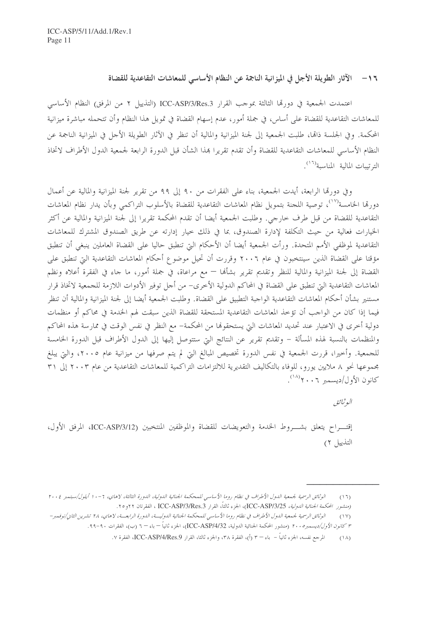١٦ – الآثار الطويلة الأجل في الميز انية الناجمة عن النظام الأساسي للمعاشات التقاعدية للقضاة

اعتمدت الجمعية في دورها الثالثة بموجب القرار ICC-ASP/3/Res.3 (التذييل ٢ من المرفق) النظام الأساسي للمعاشات التقاعدية للقضاة على أساس، في جملة أمور، عدم إسهام القضاة في تمويل هذا النظام وأن تتحمله مباشرة ميزانية المحكمة. وفي الجلسة ذامَّا، طلبت الجمعية إلى لجنة الميزانية والمالية أن تنظر في الآثار الطويلة الأجل في الميزانية الناجمة عن النظام الأساسي للمعاشات التقاعدية للقضاة وأن تقدم تقريرا بمذا الشأن قبل الدورة الرابعة لجمعية الدول الأطراف لاتخاذ الترتيبات المالية المناسبة<sup>(١٦)</sup>.

وفي دورها الرابعة، أيدت الجمعية، بناء على الفقرات من ٩٠ إلى ٩٩ من تقرير لجنة الميزانية والمالية عن أعمال دورقما الخامسة<sup>(١٧</sup>)، توصية اللجنة بتمويل نظام المعاشات التقاعدية للقضاة بالأسلوب التراكمبي وبأن يدار نظام المعاشات التقاعدية للقضاة من قبل طرف حارجي. وطلبت الجمعية أيضا أن تقدم المحكمة تقريرا إلى لجنة الميزانية والمالية عن أكثر الخيارات فعالية من حيث التكلفة لإدارة الصندوق، بما في ذلك حيار إدارته عن طريق الصندوق المشترك للمعاشات التقاعدية لموظفي الأمم المتحدة. ورأت الجمعية أيضا أن الأحكام التي تنطبق حاليا على القضاة العاملين ينبغي أن تنطبق مؤقتا على القضاة الذين سينتخبون في عام ٢٠٠٦ وقررت أن تحيل موضوع أحكام المعاشات التقاعدية التي تنطبق على القضاة إلى لجنة الميزانية والمالية للنظر وتقديم تقرير بشألها — مع مراعاة، في جملة أمور، ما حاء في الفقرة أعلاه ونظم المعاشات التقاعدية التي تنطبق على القضاة في المحاكم الدولية الأخرى– من أجل توفير الأدوات اللازمة للجمعية لاتخاذ قرار مستنير بشأن أحكام المعاشات التقاعدية الواجبة التطبيق على القضاة. وطلبت الجمعية أيضا إلى لجنة الميزانية والمالية أن تنظر فيما إذا كان من الواجب أن تؤخذ المعاشات التقاعدية المستحقة للقضاة الذين سبقت لهم الخدمة في محاكم أو منظمات دولية أخرى في الاعتبار عند تحديد المعاشات التي يستحقوها من المحكمة– مع النظر في نفس الوقت في ممارسة هذه المحاكم والمنظمات بالنسبة لهذه المسألة – وتقديم تقرير عن النتائج التي ستتوصل إليها إلى الدول الأطراف قبل الدورة الخامسة للجمعية. وأخيرا، قررت الجمعية في نفس الدورة تخصيص المبالغ التي لم يتم صرفها من ميزانية عام ٢٠٠٥، والتي يبلغ مجموعها نحو ٨ ملايين يورو، للوفاء بالتكاليف التقديرية للالتزامات التراكمية للمعاشات التقاعدية من عام ٢٠٠٣ إلى ٣١ كانون الأول/دبسمبر ٢٠٠٦/ (<sup>١٨)</sup>.

البوثيائق

إقتـــراح يتعلق بشـــروط الخدمة والتعويضات للقضاة والموظفين المنتخبين (ICC-ASP/3/12، المرفق الأول، التذييل ٢)

الوثائق الرسمية لجمعية الدول الأطراف في نظام روما الأساسي للمحكمة الجنائية الدولية، الدورة الثالثة، لاهاي، ٦ -١٠ أيلول/سبتمبر ٢٠٠٤  $(11)$ (منشهور المحكمة *الجنائية الدولية، ICC-ASP/3/25)*، الجزء ثالثاً، القرار ICC-ASP/3/Res.3 ، الفقرتان ٢٢و ٢٥.

الوثائق الرسمية لجمعية الدول الأطراف في نظام روما الأساسي للمحكمة الجنائية الدولية، الدورة الرابعة، لاهاي، ٢٨ تشرين الثاني/نوفمبر–  $(1 \vee)$ ٣ *كانون الأول/ديسمبره ٢٠٠* (منشور المحكمة الجنائية الدولية، ICC-ASP/4/32)، الجزء ثانياً – باء – ٦ (ب)، الفقرات ٩٠-٩٩.

المرجع نفسه، الجزء ثانياً – باء – ٣ (أ)، الفقرة ٣٨، والجزء ثالثا، القرار ICC-ASP/4/Res.9، الفقرة ٧.  $(\lambda)$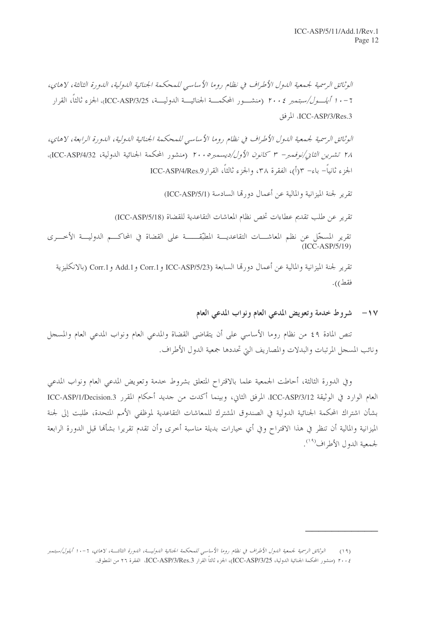الوثائق الرسمية لجمعية الدول الأطراف في نظام روما الأساسي للمحكمة الجنائية الدولية، الدورة الثالثة، لاهاي، 7 – • 1 *أيلـــول/سبتمبر ٢٠٠٤* (منشـــور المحكمـــة الجنائيـــة الدوليـــة، ICC-ASP/3/25، الجزء ثالثاً، القرار ICC-ASP/3/Res.3، المرفق

الوثائق الرسمية لجيمعية الدول الأطراف في نظام روما الأساسي للمحكمة الجنائية الدولية، الدورة الرابعة، لاهاي، ٢٨ تشر*ين الثان/نوفمبر- ٣ كانون الأول/ديسمبر ٢٠٠٥* (منشور المحكمة الجنائية الدولية، ICC-ASP/4/32)، الجزء ثانياً– باء– ٣(أ)، الفقرة ٣٨، والجزء ثالثاً، القرارMCC-ASP/4/Res.9)

تقرير لجنة الميزانية والمالية عن أعمال دورتما السادسة (ICC-ASP/5/1)

تقرير عن طلب تقديم عطاءات تخص نظام المعاشات التقاعدية للقضاة (ICC-ASP/5/18)

تقرير المسجّل عن نظم المعاشــــات التقاعديــــة المطبّقـــــــة على القضاة في المحاكــــم الدوليــــة الأخــــرى<br>(ICC-ASP/5/19)

تقرير لجنة الميزانية والمالية عن أعمال دورتما السابعة (ICC-ASP/5/23 و Corr.1 و Corr.1 (بالانكليزية " فقط)).

#### شروط خدمة وتعويض المدعى العام ونواب المدعي العام  $-1V$

تنص المادة ٤٩ من نظام روما الأساسي على أن يتقاضى القضاة والمدعى العام ونواب المدعى العام والمسجل ونائب المسجل المرتبات والبدلات والمصاريف التي تحددها جمعية الدول الأطراف.

وفي الدورة الثالثة، أحاطت الجمعية علما بالاقتراح المتعلق بشروط خدمة وتعويض المدعى العام ونواب المدعى العام الوارد في الوثيقة ICC-ASP/3/12، المرفق الثاني، وبينما أكدت من جديد أحكام المقرر ICC-ASP/1/Decision.3 بشأن اشتراك المحكمة الجنائية الدولية في الصندوق المشترك للمعاشات التقاعدية لموظفى الأمم المتحدة، طلبت إلى لجنة الميزانية والمالية أن تنظر في هذا الاقتراح وفي أي خيارات بديلة مناسبة أخرى وأن تقدم تقريرا بشألها قبل الدورة الرابعة لجمعية الدول الأطراف<sup>(١٩)</sup>.

الوثائق الرسمية لجمعية الدول الأطراف في نظام روما الأساسي للمحكمة الجنائية الدوليـــة، الدورة الثالثـــة، لاهاي، ٦-١٠ أيلول/سبتمبر  $(19)$ ٢٠٠٤ (منشور المحكمة الجنائية الدولية، ICC-ASP/3/25)، الجزء ثالثاً القرار ICC-ASP/3/Res.3، الفقرة ٢٦ من المنطوق.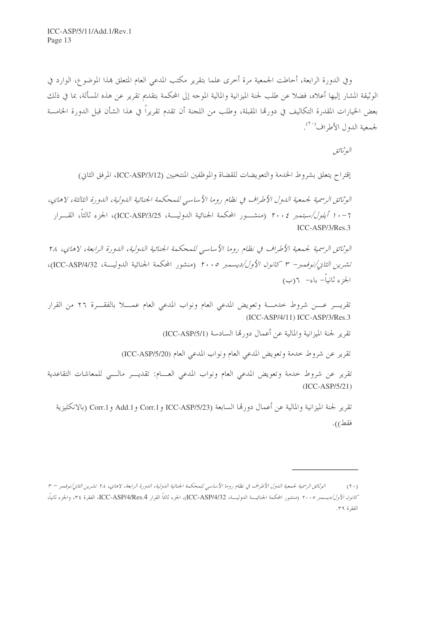وفي الدورة الرابعة، أحاطت الجمعية مرة أخرى علما بتقرير مكتب المدعى العام المتعلق بمذا الموضوع، الوارد في الوثيقة المشار إليها أعلاه، فضلا عن طلب لجنة الميزانية والمالية الموحه إلى المحكمة بتقديم تقرير عن هذه المسألة، بما في ذلك بعض الخيارات المقدرة التكاليف في دورتما المقبلة، وطلب من اللحنة أن تقدم تقريراً في هذا الشأن قبل الدورة الخامسة لجمعية الدول الأطراف<sup>(٢٠)</sup>.

البوثائق

إقتراح يتعلق بشروط الخدمة والتعويضات للقضاة والموظفين المنتخبين (ICC-ASP/3/12، المرفق الثاني)

الوثائق الرسمية لجمعية الدول الأطراف في نظام روما الأساسي للمحكمة الجنائية الدولية، الدورة الثالثة، لاهاي، 7 - • 1 *أيلول/سبتمبر ٢٠٠٤* (منشـــور المحكمة الجنائية الدوليـــة، ICC-ASP/3/25)، الجزء ثالثاً، القــــرار ICC-ASP/3/Res.3

الوثائق الرسمية لجمعية الأطراف في نظام روما الأساسي للمحكمة الجنائية الدولية، الدورة الرابعة، لاهاي، ٢٨ تشرين الثاني/نوفمبر- ٣ كانون الأول/ديسمبر ٢٠٠٥ (منشور المحكمة الجنائية الدوليــة، ICC-ASP/4/32)، الجزء ثانياً– باءِ– ٦(ب)

تقريب عـــن شروط حدمـــة وتعويض المدعى العام ونواب المدعى العام عمـــلا بالفقـــرة ٢٦ من القرار (ICC-ASP/4/11) ICC-ASP/3/Res.3

تقرير لجنة الميزانية والمالية عن أعمال دورتما السادسة (ICC-ASP/5/1)

تقرير عن شروط حدمة وتعويض المدعى العام ونواب المدعى العام (ICC-ASP/5/20)

تقرير عن شروط خدمة وتعويض المدعى العام ونواب المدعى العسام: تقديـــر مالـــى للمعاشات التقاعدية  $(ICC-ASP/5/21)$ 

تقرير لجنة الميزانية والمالية عن أعمال دورتما السابعة (ICC-ASP/5/23 و Corr.1 و Corr.1 (بالانكليزية فقط)).

الوثائق الرسمية لجمعية الدول الأطراف في نظام روما الأساسي للمحكمة الجنائية الدولية، الدورة الرابعة، لاهاي، ٢٨ تشرين الثاني/نوفمبر – ٣  $(1 \cdot)$ كانو*ن الأول/ديسمبر ٢٠٠٥* (منشور المحكمة الجنائيسـة الدوليـــة، ICC-ASP/4/Res.4)، الجزء ثالثاً القرار ICC-ASP/4/Res.4، والجزء ثانياً، الفقرة ٣٩.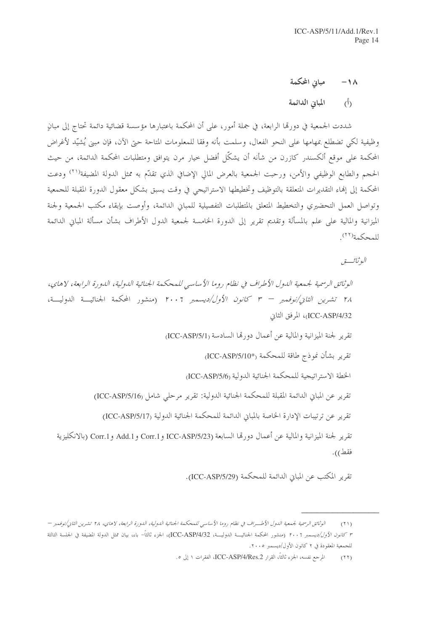مبانى المحكمة  $-1<sub>\lambda</sub>$ 

المبانى الدائمة  $\hat{(\Lambda)}$ 

شددت الجمعية في دورقما الرابعة، في جملة أمور، على أن المحكمة باعتبارها مؤسسة قضائية دائمة تحتاج إلى مبانٍ وظيفية لكي تضطلع بمهامها على النحو الفعال، وسلمت بأنه وفقا للمعلومات المتاحة حتى الآن، فإن مبني يُشيّد لأغراض المحكمة على موقع ألكسندر كازرن من شأنه أن يشكّل أفضل حيار مرن يتوافق ومتطلبات المحكمة الدائمة، من حيث الحجم والطابع الوظيفي والأمن، ورحبت الجمعية بالعرض المالي الإضافي الذي تقدَّم به ممثل الدولة المضيفة<sup>(٢١)</sup> ودعت المحكمة إلى إنماء التقديرات المتعلقة بالتوظيف وتخطيطها الاستراتيجي في وقت يسبق بشكل معقول الدورة المقبلة للجمعية وتواصل العمل التحضيري والتخطيط المتعلق بالمتطلبات التفصيلية للمباني الدائمة، وأوصت بإبقاء مكتب الجمعية ولجنة الميزانية والمالية على علم بالمسألة وتقديم تقرير إلى الدورة الخامسة لجمعية الدول الأطراف بشأن مسألة المباني الدائمة للمحكمة<sup>(٢٢)</sup>

البو ثبائب تور

الوثائق الرسمية لجيمعية الدول الأطراف في نظام روما الأساسي للمحكمة الجنائية الدولية، الدورة الرابعة، لاهاي، ٢٨ تشرين *الثاني/نوفيمبر – ٣ كانون الأول/ديس*مبر ٢٠٠٦ (منشور المحكمة الجنائيـــة الدوليـــة، ICC-ASP/4/32)، المرفق الثاني تقرير لجنة الميزانية والمالية عن أعمال دورتما السادسة (ICC-ASP/5/1) تقرير بشأن نموذج طاقة للمحكمة <sub>(\*ICC-ASP/5/10)</sub> الخطة الاستر اتبجية للمحكمة الجنائية الدولية (ICC-ASP/5/6 تقرير عن المباني الدائمة المقبلة للمحكمة الجنائية الدولية: تقرير مرحلي شامل (ICC-ASP/5/16) تقرير عن ترتيبات الإدارة الخاصة بالمباين الدائمة للمحكمة الجنائية الدولية (ICC-ASP/5/17) تقرير لجنة الميزانية والمالية عن أعمال دورتما السابعة ICC-ASP/5/23 و Add.1 و Corr.1 و Corr.1 (بالانكليزية فقط)).

تقرير المكتب عن المباني الدائمة للمحكمة (ICC-ASP/5/29).

الوثائق الرسمية لجمعية اللهول الأطسراف في نظام روما الأساسي للمحكمة الجنائية اللهولية، اللهورة الرابعة، لاهاي، ٢٨ تشرين الثاني/نوفيهبر —  $(51)$ ٣ *كانون الأول/ديسمبر ٢٠٠٦* (منشور المحكمة الجنائيـــة الدوليـــة، ICC-ASP/4/32)، الجزء ثالثاً– باء، بيان ممثل الدولة المضيفة فى الجلسة الثالثة للجمعية المعقودة في ٢ كانون الأول/ديسمبر ٢٠٠٥.

المرجع نفسه، الجزء ثالثاً، القرار ICC-ASP/4/Res.2، الفقرات ١ إلى ٥.  $(11)$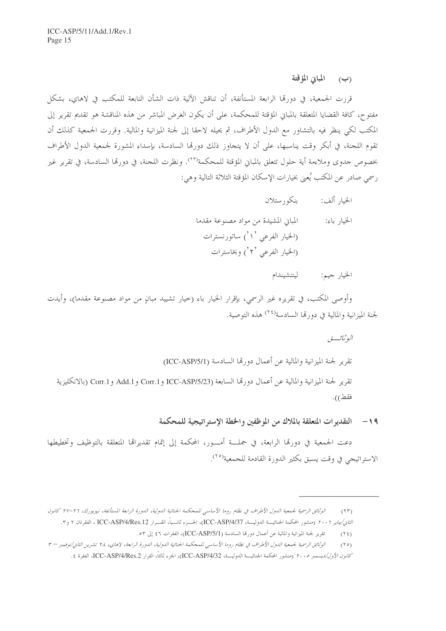المبابن المؤقتة  $\left(\cup\right)$ 

قررت الجمعية، في دورتما الرابعة المستأنفة، أن تناقش الآلية ذات الشأن التابعة للمكتب في لاهاي، بشكل مفتوح، كافة القضايا المتعلقة بالمباني المؤقتة للمحكمة، على أن يكون الغرض المباشر من هذه المناقشة هو تقديم تقرير إلى المكتب لكي ينظر فيه بالتشاور مع الدول الأطراف، ثم يحيله لاحقا إلى لجنة الميزانية والمالية. وقررت الجمعية كذلك أن تقوم اللجنة، في أبكر وقت يناسبها، على أن لا يتجاوز ذلك دورها السادسة، بإسداء المشورة لجمعية الدول الأطراف بخصوص جدوى وملاءِمة أية حلول تتعلق بالمباين المؤقتة للمحكمة<sup>(٢٣)</sup>. ونظرت اللجنة، في دورتما السادسة، في تقرير غير رسمي صادر عن المكتب يُعني بخيارات الإسكان المؤقتة الثلاثة التالية وهي:

- الخيار ألف: بنكور ستلان
- المباني المشيدة من مواد مصنوعة مقدما الحنيار باء: (الخيار الفرعي `\ `) ساتورنسترات (الخيار الفرعي '۲') ويخاسترات
	- لينتشيندام الخيار جيم:

وأوصى المكتب، في تقريره غير الرسمي، بإقرار الخيار باء (حيار تشييد مبانٍ من مواد مصنوعة مقدما)، وأيدت لجنة الميزانية والمالية في دو, تما السادسة<sup>(٢٤)</sup> هذه التوصية.

البو ثبائب تو تقرير لجنة الميزانية والمالية عن أعمال دورتها السادسة (ICC-ASP/5/1) تقرير لجنة الميزانية والمالية عن أعمال دورتما السابعة (ICC-ASP/5/23 و Corr.1 و Add.1 و Corr.1 (بالانكليزية فقط)).

١٩- التقديرات المتعلقة بالملاك من الموظفين والخطة الإستراتيجية للمحكمة

دعت الجمعية في دورتما الرابعة، في جملـــة أمـــور، المحكمة إلى إتمام تقديراها المتعلقة بالتوظيف وتخطيطها الاستراتيجي في وقت يسبق بكثير الدورة القادمة للجمعية<sup>(٢٥)</sup>.

- تقرير لجنة الميزانية والمالية عن أعمال دورتما السادسة (ICC-ASP/5/1)، الفقرات ٤٦ إلى ٥٣.  $(15)$
- الوثائق الرسمية لجمعية الدول الأطراف في نظام روما الأساسي للمحكمة الجنائية الدولية، الدورة الرابعة، لاهاي، ٢٨ تشرين الثاني/نوفمبر ٣  $(10)$ كانو*ن الأول/ديسمبر ٢٠٠٥* (منشور المحكمة الجنائيـــة الدوليـــة، ICC-ASP/4/32)، الجزء ثالثاً، القرار ICC-ASP/4/Res.2، الفقرة ٤.

الوثائق الرسمية لجيمعية اللول الأطراف في نظام روما الأساسي للمحكمة الجنائية اللولية، اللورة الرابعة المستأنفة، نيويورك، ٢٦-٢٧ كانون  $(55)$ ا*لثان/يناير ٢٠٠٦* (منشور المحكمة الجنائيـــة الدوليـــة، ICC-ASP/4/37، الجــــزء ثانـــياً، القـــرار ICC-ASP/4/Res.12 ، الفقرتان ٢ و٣.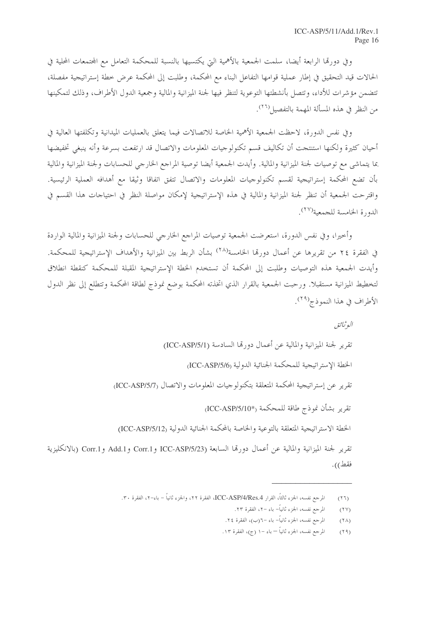وفي دورقما الرابعة أيضا، سلمت الجمعية بالأهمية التي يكتسيها بالنسبة للمحكمة التعامل مع المحتمعات المحلية في الحالات قيد التحقيق في إطار عملية قوامها التفاعل البناء مع المحكمة، وطلبت إلى المحكمة عرض خطة إستراتيجية مفصلة، تتضمن مؤشرات للأداء، وتتصل بأنشطتها التوعوية لتنظر فيها لجنة الميزانية والمالية وجمعية الدول الأطراف، وذلك لتمكينها من النظر في هذه المسألة المهمة بالتفصيل<sup>(٢٦</sup>).

وفي نفس الدورة، لاحظت الجمعية الأهمية الخاصة للاتصالات فيما يتعلق بالعمليات الميدانية وتكلفتها العالية في أحيان كثيرة ولكنها استنتجت أن تكاليف قسم تكنولوجيات المعلومات والاتصال قد ارتفعت بسرعة وأنه ينبغى تخفيضها بما يتماشى مع توصيات لجنة الميزانية والمالية. وأيدت الجمعية أيضا توصية المراجع الخارجي للحسابات ولجنة الميزانية والمالية بأن تضع المحكمة إستراتيجية لقسم تكنولوجيات المعلومات والاتصال تتفق اتفاقا وثيقا مع أهدافه العملية الرئيسية. واقترحت الجمعية أن تنظر لجنة الميزانية والمالية في هذه الإستراتيجية لإمكان مواصلة النظر في احتياحات هذا القسم في الدو, ة الخامسة للجمعية(٢٧).

وأحيرا، وفي نفس الدورة، استعرضت الجمعية توصيات المراجع الخارجي للحسابات ولجنة الميزانية والمالية الواردة في الفقرة ٢٤ من تقريرها عن أعمال دورها الخامسة<sup>(٢٨)</sup> بشأن الربط بين الميزانية والأهداف الإستراتيجية للمحكمة. وأيدت الجمعية هذه التوصيات وطلبت إلى المحكمة أن تستخدم الخطة الإستراتيجية المقبلة للمحكمة كنقطة انطلاق لتخطيط الميزانية مستقبلا. ورحبت الجمعية بالقرار الذي اتخذته المحكمة بوضع نموذج لطاقة المحكمة وتتطلع إلى نظر الدول الأطراف في هذا النموذج<sup>(٢٩)</sup>.

البوثيائق تقرير لجنة الميزانية والمالية عن أعمال دورهّا السادسة (ICC-ASP/5/1) الخطة الاستر اتيجية للمحكمة الجنائية الدولية (ICC-ASP/5/6 تقرير عن إستراتيجية المحكمة المتعلقة بتكنولوجيات المعلومات والاتصال (ICC-ASP/5/7) تقرير بشأن نموذج طاقة للمحكمة <sub>(\*I</sub>CC-ASP/5/10) الخطة الاستراتيجية المتعلقة بالتوعية والخاصة بالمحكمة الجنائية الدولية (ICC-ASP/5/12) تقرير لجنة الميزانية والمالية عن أعمال دورتما السابعة (ICC-ASP/5/23 و Corr.1 و Corr.1 (بالانكليزية فقط)).

- المرحع نفسه، الجزء ثانياً– باء –٦(ب)، الفقرة ٢٤.  $(1\lambda)$
- المرجع نفسه، الجزء ثانياً باء –١ (ج)، الفقرة ١٣.  $(19)$

المرجع نفسه، الجزء ثالثاً، القرار ICC-ASP/4/Res.4، الفقرة ٢٢، والجزء ثانياً – باء–٢، الفقرة ٣٠.  $(TT)$ 

المرجع نفسه، الجزء ثانياً– باء –٢، الفقرة ٢٣.  $(11)$